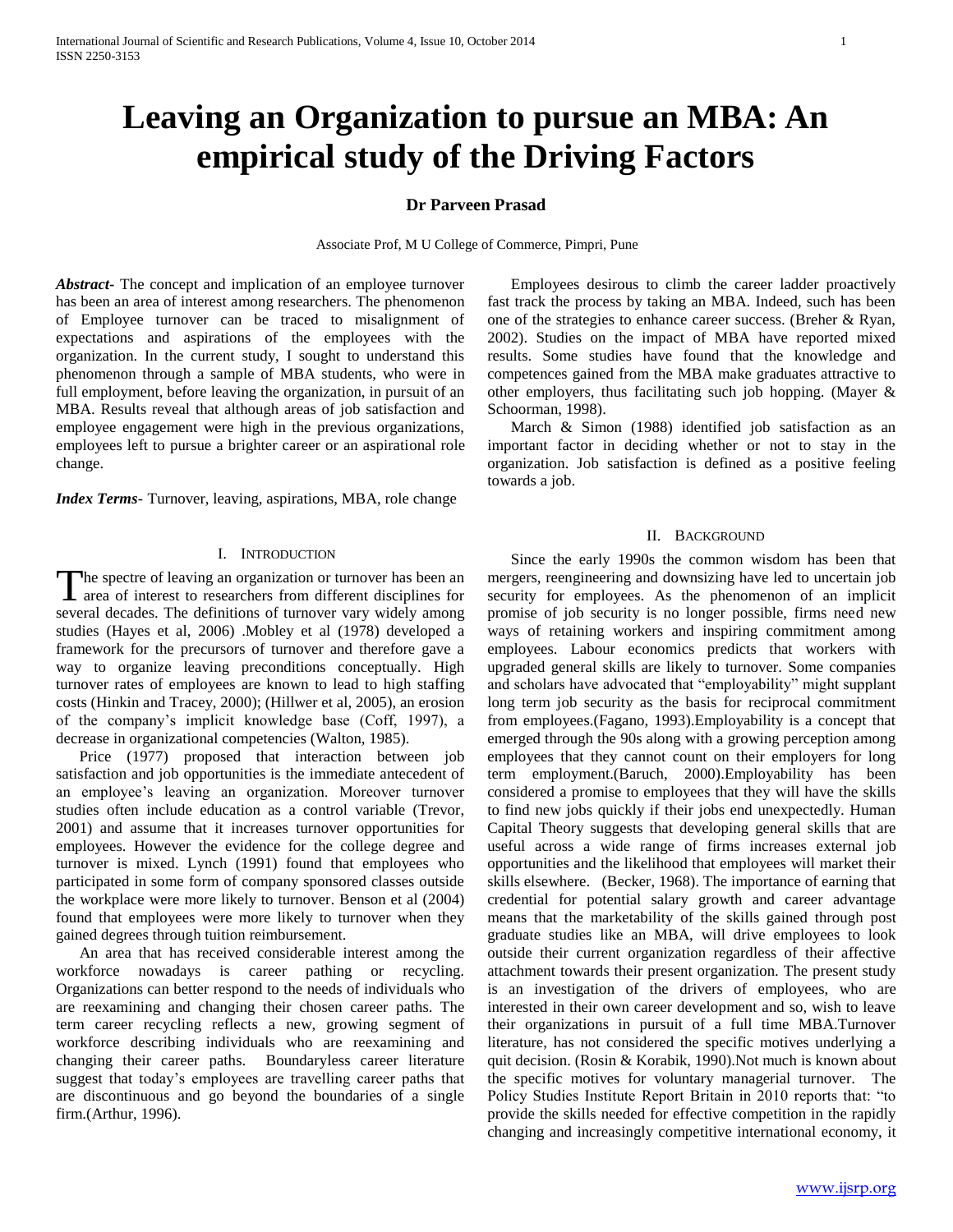# **Leaving an Organization to pursue an MBA: An empirical study of the Driving Factors**

### **Dr Parveen Prasad**

Associate Prof, M U College of Commerce, Pimpri, Pune

*Abstract***-** The concept and implication of an employee turnover has been an area of interest among researchers. The phenomenon of Employee turnover can be traced to misalignment of expectations and aspirations of the employees with the organization. In the current study, I sought to understand this phenomenon through a sample of MBA students, who were in full employment, before leaving the organization, in pursuit of an MBA. Results reveal that although areas of job satisfaction and employee engagement were high in the previous organizations, employees left to pursue a brighter career or an aspirational role change.

*Index Terms*- Turnover, leaving, aspirations, MBA, role change

### I. INTRODUCTION

The spectre of leaving an organization or turnover has been an The spectre of leaving an organization or turnover has been an area of interest to researchers from different disciplines for several decades. The definitions of turnover vary widely among studies (Hayes et al, 2006) .Mobley et al (1978) developed a framework for the precursors of turnover and therefore gave a way to organize leaving preconditions conceptually. High turnover rates of employees are known to lead to high staffing costs (Hinkin and Tracey, 2000); (Hillwer et al, 2005), an erosion of the company"s implicit knowledge base (Coff, 1997), a decrease in organizational competencies (Walton, 1985).

 Price (1977) proposed that interaction between job satisfaction and job opportunities is the immediate antecedent of an employee's leaving an organization. Moreover turnover studies often include education as a control variable (Trevor, 2001) and assume that it increases turnover opportunities for employees. However the evidence for the college degree and turnover is mixed. Lynch (1991) found that employees who participated in some form of company sponsored classes outside the workplace were more likely to turnover. Benson et al (2004) found that employees were more likely to turnover when they gained degrees through tuition reimbursement.

 An area that has received considerable interest among the workforce nowadays is career pathing or recycling. Organizations can better respond to the needs of individuals who are reexamining and changing their chosen career paths. The term career recycling reflects a new, growing segment of workforce describing individuals who are reexamining and changing their career paths. Boundaryless career literature suggest that today"s employees are travelling career paths that are discontinuous and go beyond the boundaries of a single firm.(Arthur, 1996).

 Employees desirous to climb the career ladder proactively fast track the process by taking an MBA. Indeed, such has been one of the strategies to enhance career success. (Breher & Ryan, 2002). Studies on the impact of MBA have reported mixed results. Some studies have found that the knowledge and competences gained from the MBA make graduates attractive to other employers, thus facilitating such job hopping. (Mayer & Schoorman, 1998).

 March & Simon (1988) identified job satisfaction as an important factor in deciding whether or not to stay in the organization. Job satisfaction is defined as a positive feeling towards a job.

### II. BACKGROUND

 Since the early 1990s the common wisdom has been that mergers, reengineering and downsizing have led to uncertain job security for employees. As the phenomenon of an implicit promise of job security is no longer possible, firms need new ways of retaining workers and inspiring commitment among employees. Labour economics predicts that workers with upgraded general skills are likely to turnover. Some companies and scholars have advocated that "employability" might supplant long term job security as the basis for reciprocal commitment from employees.(Fagano, 1993).Employability is a concept that emerged through the 90s along with a growing perception among employees that they cannot count on their employers for long term employment.(Baruch, 2000).Employability has been considered a promise to employees that they will have the skills to find new jobs quickly if their jobs end unexpectedly. Human Capital Theory suggests that developing general skills that are useful across a wide range of firms increases external job opportunities and the likelihood that employees will market their skills elsewhere. (Becker, 1968). The importance of earning that credential for potential salary growth and career advantage means that the marketability of the skills gained through post graduate studies like an MBA, will drive employees to look outside their current organization regardless of their affective attachment towards their present organization. The present study is an investigation of the drivers of employees, who are interested in their own career development and so, wish to leave their organizations in pursuit of a full time MBA.Turnover literature, has not considered the specific motives underlying a quit decision. (Rosin & Korabik, 1990).Not much is known about the specific motives for voluntary managerial turnover. The Policy Studies Institute Report Britain in 2010 reports that: "to provide the skills needed for effective competition in the rapidly changing and increasingly competitive international economy, it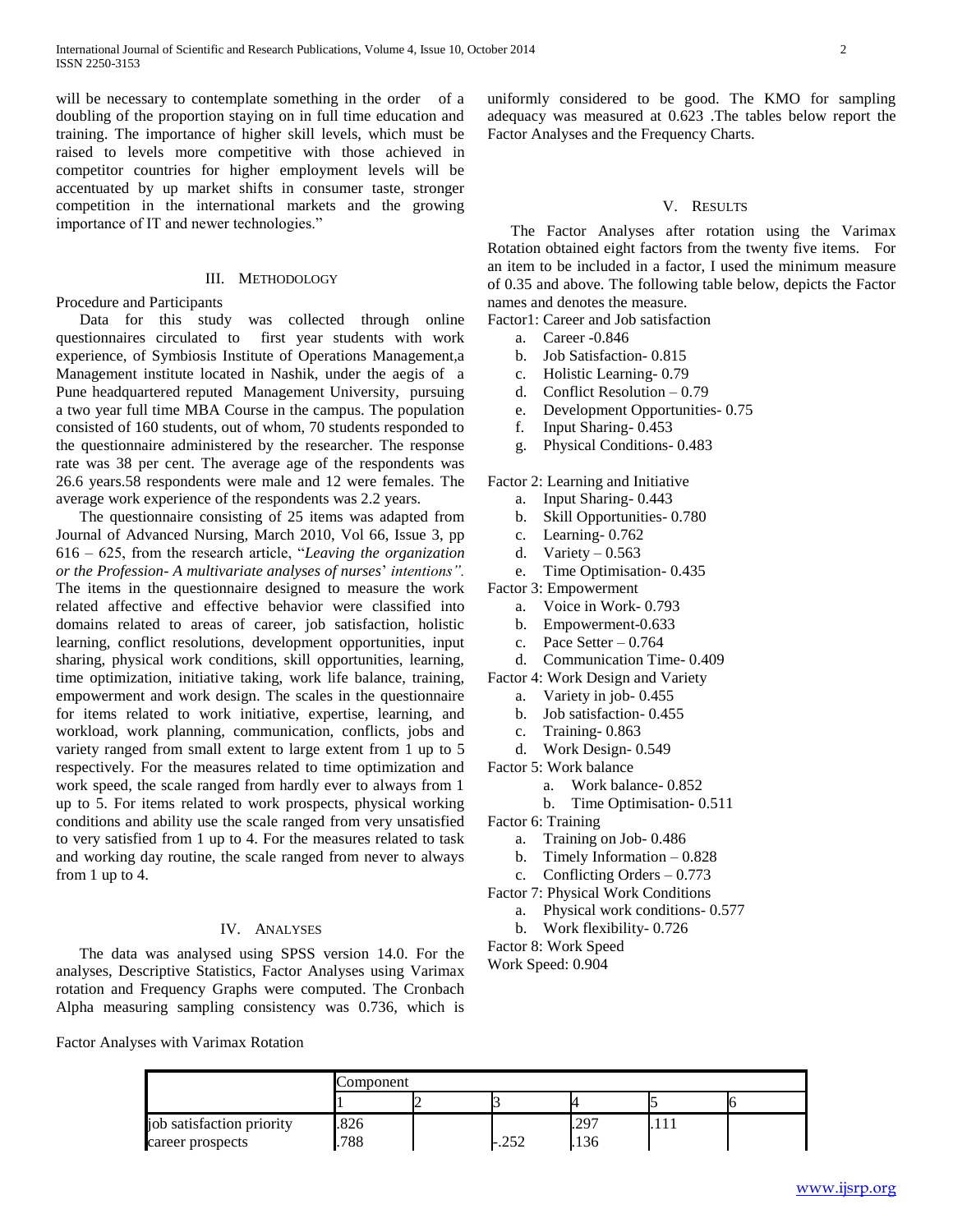will be necessary to contemplate something in the order of a doubling of the proportion staying on in full time education and training. The importance of higher skill levels, which must be raised to levels more competitive with those achieved in competitor countries for higher employment levels will be accentuated by up market shifts in consumer taste, stronger competition in the international markets and the growing importance of IT and newer technologies."

### III. METHODOLOGY

Procedure and Participants

 Data for this study was collected through online questionnaires circulated to first year students with work experience, of Symbiosis Institute of Operations Management,a Management institute located in Nashik, under the aegis of a Pune headquartered reputed Management University, pursuing a two year full time MBA Course in the campus. The population consisted of 160 students, out of whom, 70 students responded to the questionnaire administered by the researcher. The response rate was 38 per cent. The average age of the respondents was 26.6 years.58 respondents were male and 12 were females. The average work experience of the respondents was 2.2 years.

 The questionnaire consisting of 25 items was adapted from Journal of Advanced Nursing, March 2010, Vol 66, Issue 3, pp 616 – 625, from the research article, "*Leaving the organization or the Profession- A multivariate analyses of nurses*" *intentions".*  The items in the questionnaire designed to measure the work related affective and effective behavior were classified into domains related to areas of career, job satisfaction, holistic learning, conflict resolutions, development opportunities, input sharing, physical work conditions, skill opportunities, learning, time optimization, initiative taking, work life balance, training, empowerment and work design. The scales in the questionnaire for items related to work initiative, expertise, learning, and workload, work planning, communication, conflicts, jobs and variety ranged from small extent to large extent from 1 up to 5 respectively. For the measures related to time optimization and work speed, the scale ranged from hardly ever to always from 1 up to 5. For items related to work prospects, physical working conditions and ability use the scale ranged from very unsatisfied to very satisfied from 1 up to 4. For the measures related to task and working day routine, the scale ranged from never to always from 1 up to 4.

### IV. ANALYSES

 The data was analysed using SPSS version 14.0. For the analyses, Descriptive Statistics, Factor Analyses using Varimax rotation and Frequency Graphs were computed. The Cronbach Alpha measuring sampling consistency was 0.736, which is

uniformly considered to be good. The KMO for sampling adequacy was measured at 0.623 .The tables below report the Factor Analyses and the Frequency Charts.

## V. RESULTS

 The Factor Analyses after rotation using the Varimax Rotation obtained eight factors from the twenty five items. For an item to be included in a factor, I used the minimum measure of 0.35 and above. The following table below, depicts the Factor names and denotes the measure.

Factor1: Career and Job satisfaction

- a. Career -0.846
- b. Job Satisfaction- 0.815
- c. Holistic Learning- 0.79
- d. Conflict Resolution 0.79
- e. Development Opportunities- 0.75
- f. Input Sharing- 0.453
- g. Physical Conditions- 0.483

Factor 2: Learning and Initiative

- a. Input Sharing- 0.443
- b. Skill Opportunities- 0.780
- c. Learning- 0.762
- d. Variety  $-0.563$
- e. Time Optimisation- 0.435

Factor 3: Empowerment

- a. Voice in Work- 0.793
- b. Empowerment-0.633
- c. Pace Setter  $-0.764$
- d. Communication Time- 0.409

Factor 4: Work Design and Variety

- a. Variety in job- 0.455
- b. Job satisfaction- 0.455
- c. Training- 0.863
- d. Work Design- 0.549

Factor 5: Work balance

- a. Work balance- 0.852
- b. Time Optimisation- 0.511

Factor 6: Training

- a. Training on Job- 0.486
- b. Timely Information 0.828
- c. Conflicting Orders 0.773
- Factor 7: Physical Work Conditions
	- a. Physical work conditions- 0.577
	- b. Work flexibility- 0.726

Factor 8: Work Speed

Work Speed: 0.904

Factor Analyses with Varimax Rotation

|                           | Component |  |       |       |  |  |
|---------------------------|-----------|--|-------|-------|--|--|
|                           |           |  |       |       |  |  |
| job satisfaction priority | 826       |  |       | $29-$ |  |  |
| career prospects          | 788       |  | ے رے۔ | 136   |  |  |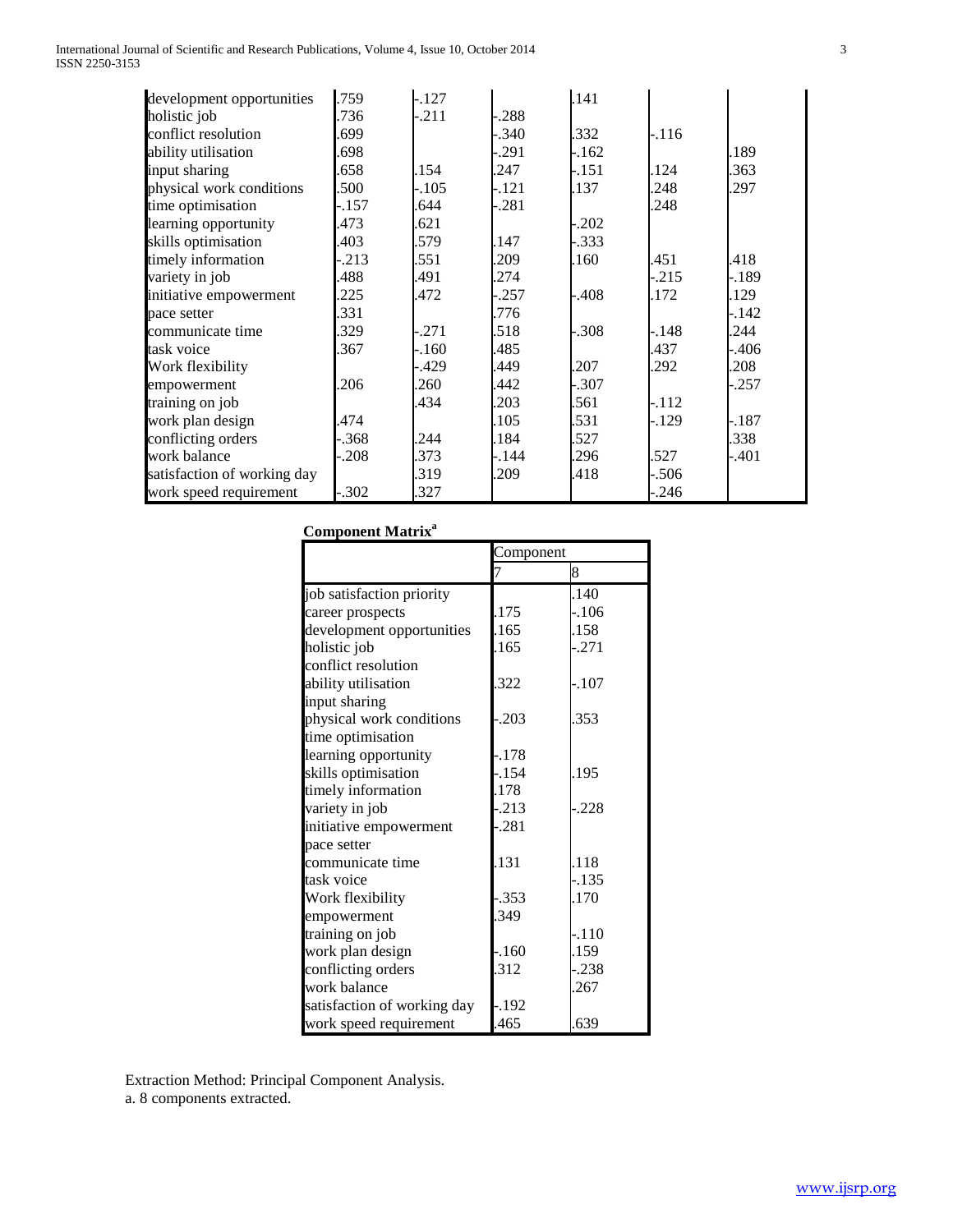| International Journal of Scientific and Research Publications, Volume 4, Issue 10, October 2014 |  |
|-------------------------------------------------------------------------------------------------|--|
| ISSN 2250-3153                                                                                  |  |

| development opportunities   | .759   | $-.127$ |         | .141    |         |         |
|-----------------------------|--------|---------|---------|---------|---------|---------|
| holistic job                | .736   | $-.211$ | -.288   |         |         |         |
| conflict resolution         | 699    |         | -.340   | .332    | $-.116$ |         |
| ability utilisation         | 698    |         | -.291   | -.162   |         | .189    |
| input sharing               | 658    | .154    | .247    | -.151   | .124    | .363    |
| physical work conditions    | 500    | $-.105$ | $-.121$ | .137    | .248    | .297    |
| time optimisation           | $-157$ | .644    | $-.281$ |         | .248    |         |
| learning opportunity        | .473   | .621    |         | $-.202$ |         |         |
| skills optimisation         | .403   | .579    | .147    | -.333   |         |         |
| timely information          | .213   | .551    | .209    | .160    | .451    | .418    |
| variety in job              | 488    | .491    | .274    |         | $-.215$ | -.189   |
| initiative empowerment      | .225   | .472    | $-.257$ | -.408   | .172    | .129    |
| pace setter                 | 331    |         | .776    |         |         | $-.142$ |
| communicate time            | .329   | $-.271$ | .518    | $-.308$ | -.148   | .244    |
| task voice                  | .367   | -.160   | .485    |         | .437    | -.406   |
| Work flexibility            |        | -.429   | .449    | .207    | .292    | .208    |
| empowerment                 | .206   | .260    | .442    | $-.307$ |         | -.257   |
| training on job             |        | .434    | .203    | .561    | $-.112$ |         |
| work plan design            | 474    |         | .105    | .531    | $-.129$ | -.187   |
| conflicting orders          | .368   | .244    | .184    | .527    |         | .338    |
| work balance                | .208   | .373    | -.144   | .296    | .527    | -.401   |
| satisfaction of working day |        | .319    | .209    | .418    | -.506   |         |
| work speed requirement      | -.302  | .327    |         |         | -.246   |         |

# **Component Matrix<sup>a</sup>**

|                             | Component |          |  |
|-----------------------------|-----------|----------|--|
|                             |           | 8        |  |
| job satisfaction priority   |           | .140     |  |
| career prospects            | .175      | $-106$   |  |
| development opportunities   | .165      | .158     |  |
| holistic job                | .165      | $-0.271$ |  |
| conflict resolution         |           |          |  |
| ability utilisation         | .322      | -.107    |  |
| input sharing               |           |          |  |
| physical work conditions    | $-.203$   | .353     |  |
| time optimisation           |           |          |  |
| learning opportunity        | $-.178$   |          |  |
| skills optimisation         | $-.154$   | .195     |  |
| timely information          | .178      |          |  |
| variety in job              | $-.213$   | $-.228$  |  |
| initiative empowerment      | -.281     |          |  |
| pace setter                 |           |          |  |
| communicate time            | .131      | .118     |  |
| task voice                  |           | -.135    |  |
| Work flexibility            | $-.353$   | .170     |  |
| empowerment                 | .349      |          |  |
| training on job             |           | $-.110$  |  |
| work plan design            | $-160$    | .159     |  |
| conflicting orders          | .312      | -.238    |  |
| work balance                |           | .267     |  |
| satisfaction of working day | $-.192$   |          |  |
| work speed requirement      | .465      | .639     |  |

Extraction Method: Principal Component Analysis. a. 8 components extracted.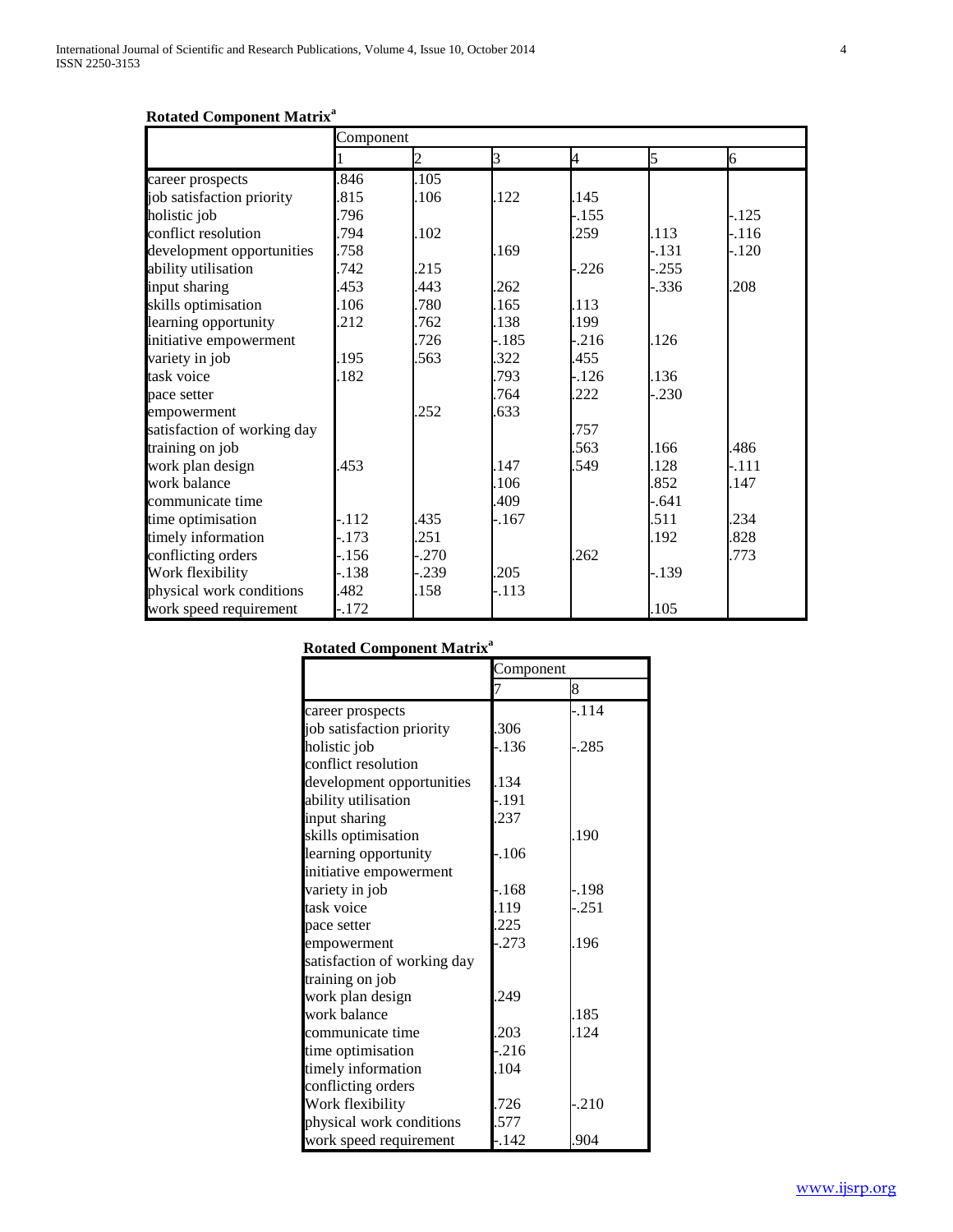# **Rotated Component Matrix<sup>a</sup>**

|                             | Component |                |         |         |         |        |
|-----------------------------|-----------|----------------|---------|---------|---------|--------|
|                             |           | $\mathfrak{D}$ | 3       | 4       | 5       | 6      |
| career prospects            | 846       | .105           |         |         |         |        |
| job satisfaction priority   | 815       | .106           | .122    | .145    |         |        |
| holistic job                | 796       |                |         | $-.155$ |         | $-125$ |
| conflict resolution         | 794       | .102           |         | .259    | .113    | $-116$ |
| development opportunities   | .758      |                | .169    |         | $-.131$ | -.120  |
| ability utilisation         | .742      | 215            |         | $-.226$ | $-.255$ |        |
| input sharing               | 453       | 443            | .262    |         | $-.336$ | .208   |
| skills optimisation         | 106       | 780            | .165    | .113    |         |        |
| learning opportunity        | .212      | .762           | .138    | .199    |         |        |
| initiative empowerment      |           | 726            | $-.185$ | $-216$  | .126    |        |
| variety in job              | 195       | .563           | 322     | 455     |         |        |
| task voice                  | 182       |                | .793    | $-.126$ | .136    |        |
| pace setter                 |           |                | .764    | .222    | $-.230$ |        |
| empowerment                 |           | .252           | .633    |         |         |        |
| satisfaction of working day |           |                |         | .757    |         |        |
| training on job             |           |                |         | .563    | .166    | .486   |
| work plan design            | 453       |                | 147     | .549    | .128    | -.111  |
| work balance                |           |                | .106    |         | .852    | .147   |
| communicate time            |           |                | .409    |         | $-.641$ |        |
| time optimisation           | .112      | .435           | $-.167$ |         | .511    | .234   |
| timely information          | .173      | 251            |         |         | .192    | 828    |
| conflicting orders          | .156      | .270           |         | .262    |         | .773   |
| Work flexibility            | -.138     | .239           | .205    |         | $-139$  |        |
| physical work conditions    | 482       | .158           | $-113$  |         |         |        |
| work speed requirement      | $-172$    |                |         |         | .105    |        |

**Rotated Component Matrix<sup>a</sup>**

|                             | Component |          |
|-----------------------------|-----------|----------|
|                             |           | 8        |
| career prospects            |           | $-.114$  |
| job satisfaction priority   | .306      |          |
| holistic job                | -.136     | $-0.285$ |
| conflict resolution         |           |          |
| development opportunities   | .134      |          |
| ability utilisation         | $-.191$   |          |
| input sharing               | 237       |          |
| skills optimisation         |           | .190     |
| learning opportunity        | -.106     |          |
| initiative empowerment      |           |          |
| variety in job              | -.168     | -.198    |
| task voice                  | .119      | $-.251$  |
| pace setter                 | .225      |          |
| empowerment                 | $-0.273$  | .196     |
| satisfaction of working day |           |          |
| training on job             |           |          |
| work plan design            | 249       |          |
| work balance                |           | .185     |
| communicate time            | .203      | .124     |
| time optimisation           | $-.216$   |          |
| timely information          | .104      |          |
| conflicting orders          |           |          |
| Work flexibility            | .726      | $-.210$  |
| physical work conditions    | .577      |          |
| work speed requirement      | $-142$    | .904     |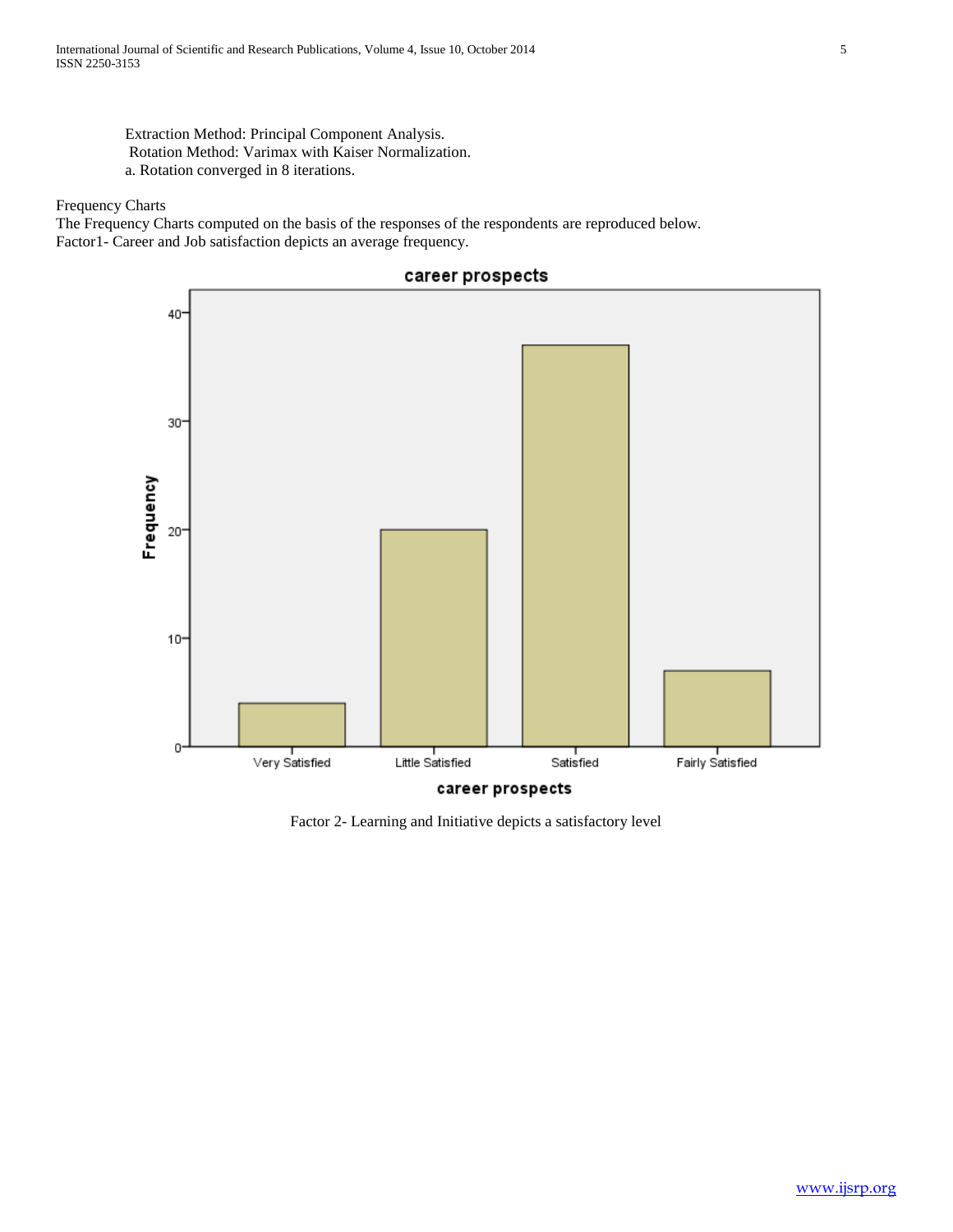Extraction Method: Principal Component Analysis. Rotation Method: Varimax with Kaiser Normalization. a. Rotation converged in 8 iterations.

Frequency Charts

The Frequency Charts computed on the basis of the responses of the respondents are reproduced below. Factor1- Career and Job satisfaction depicts an average frequency.



Factor 2- Learning and Initiative depicts a satisfactory level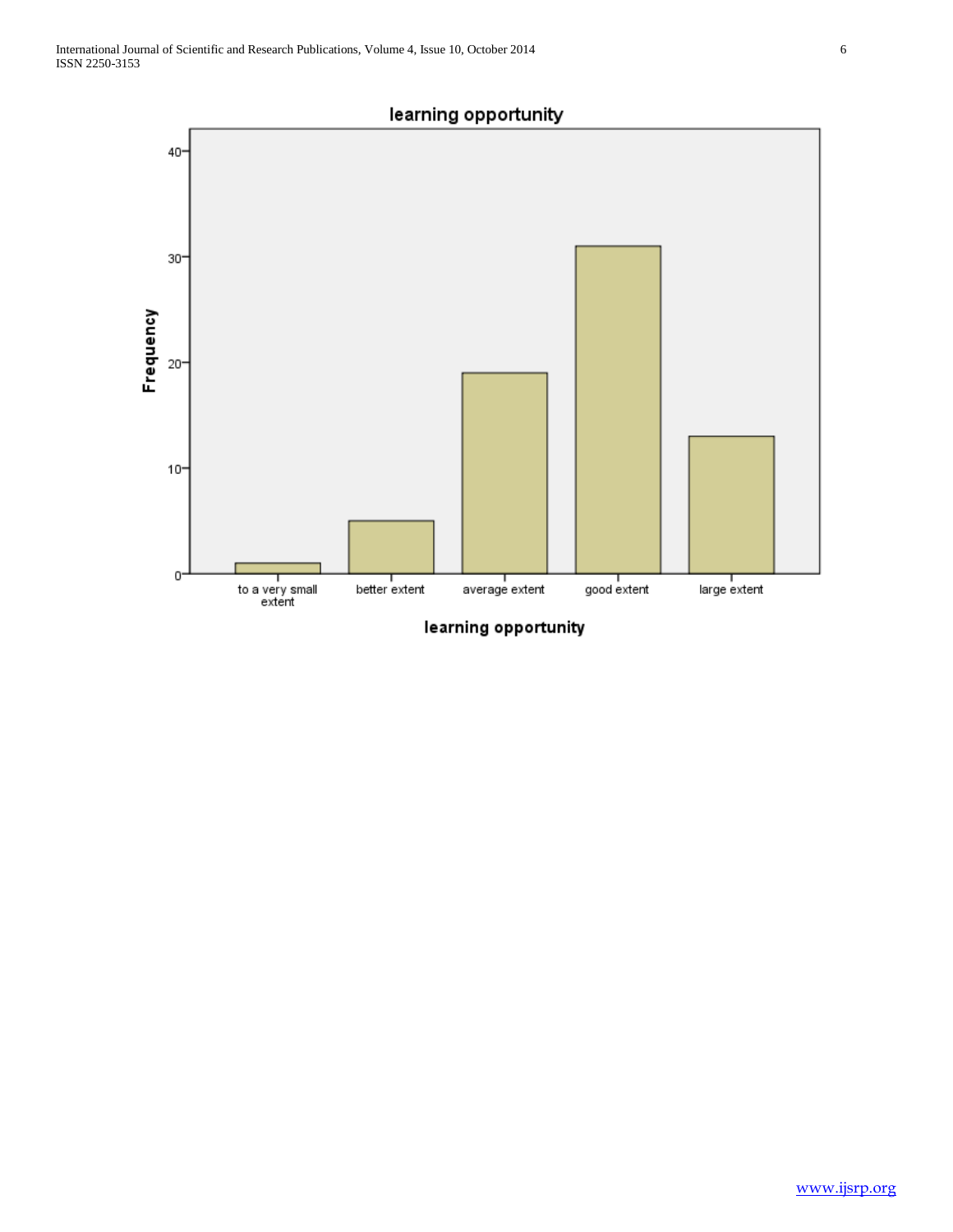

learning opportunity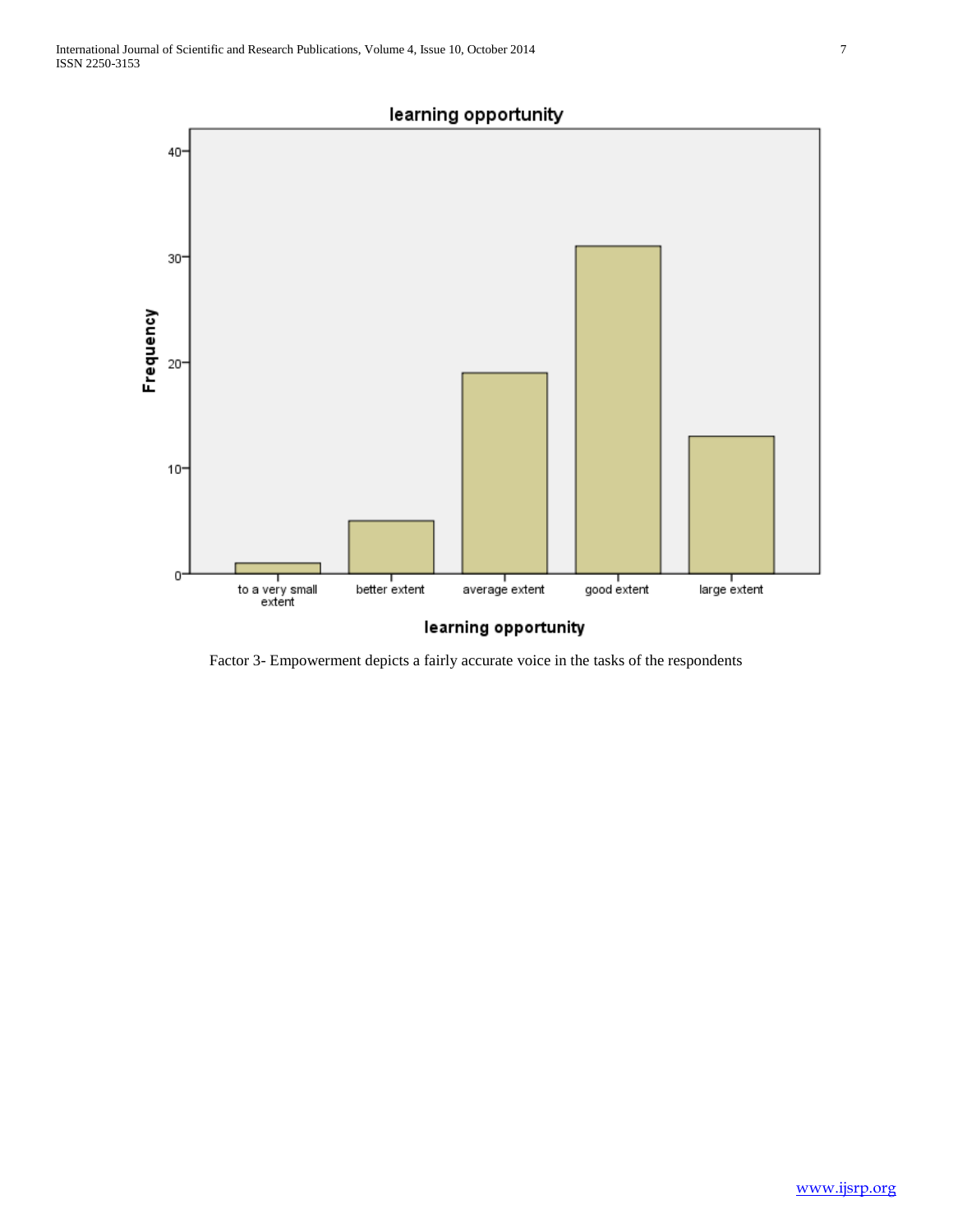

Factor 3- Empowerment depicts a fairly accurate voice in the tasks of the respondents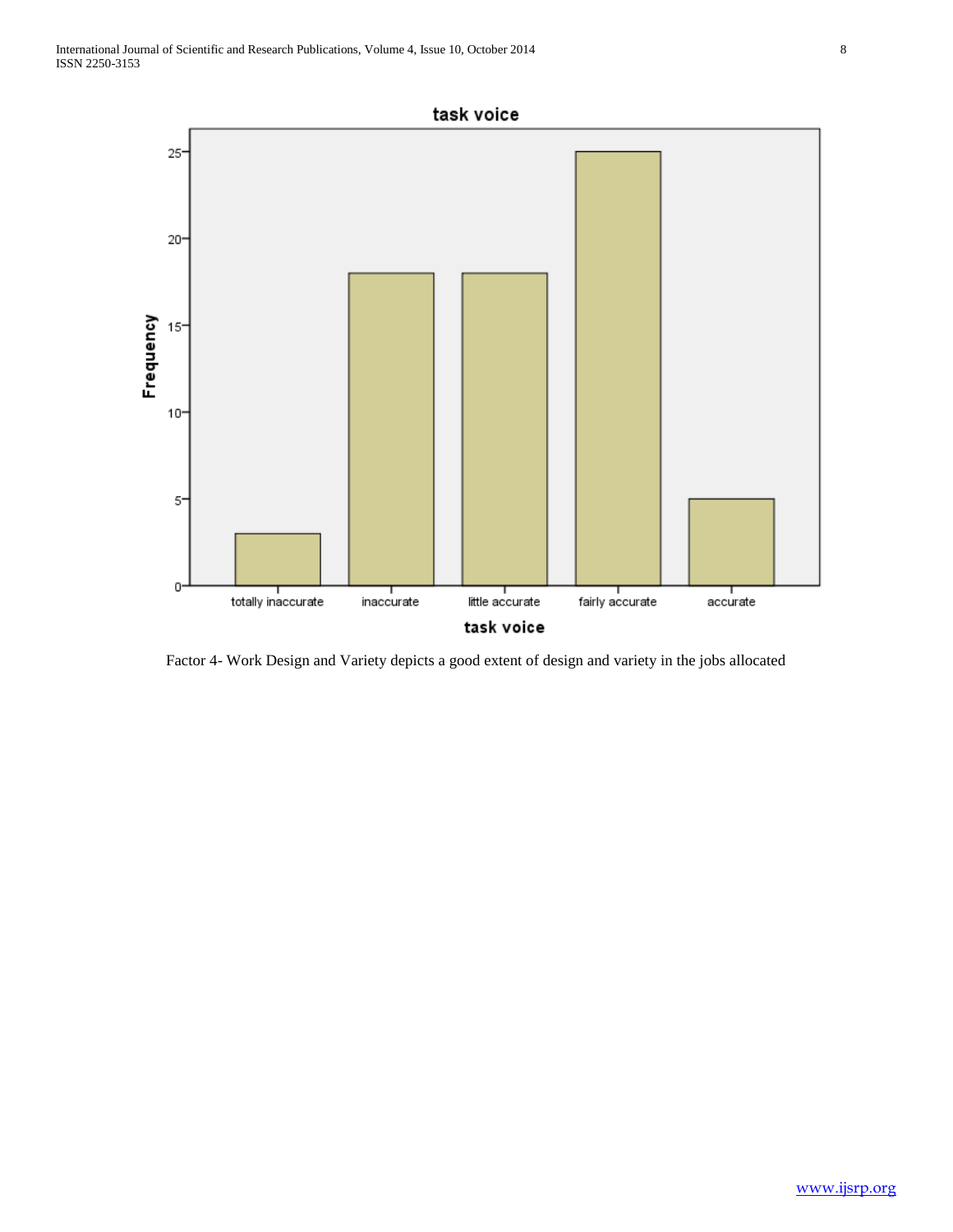

Factor 4- Work Design and Variety depicts a good extent of design and variety in the jobs allocated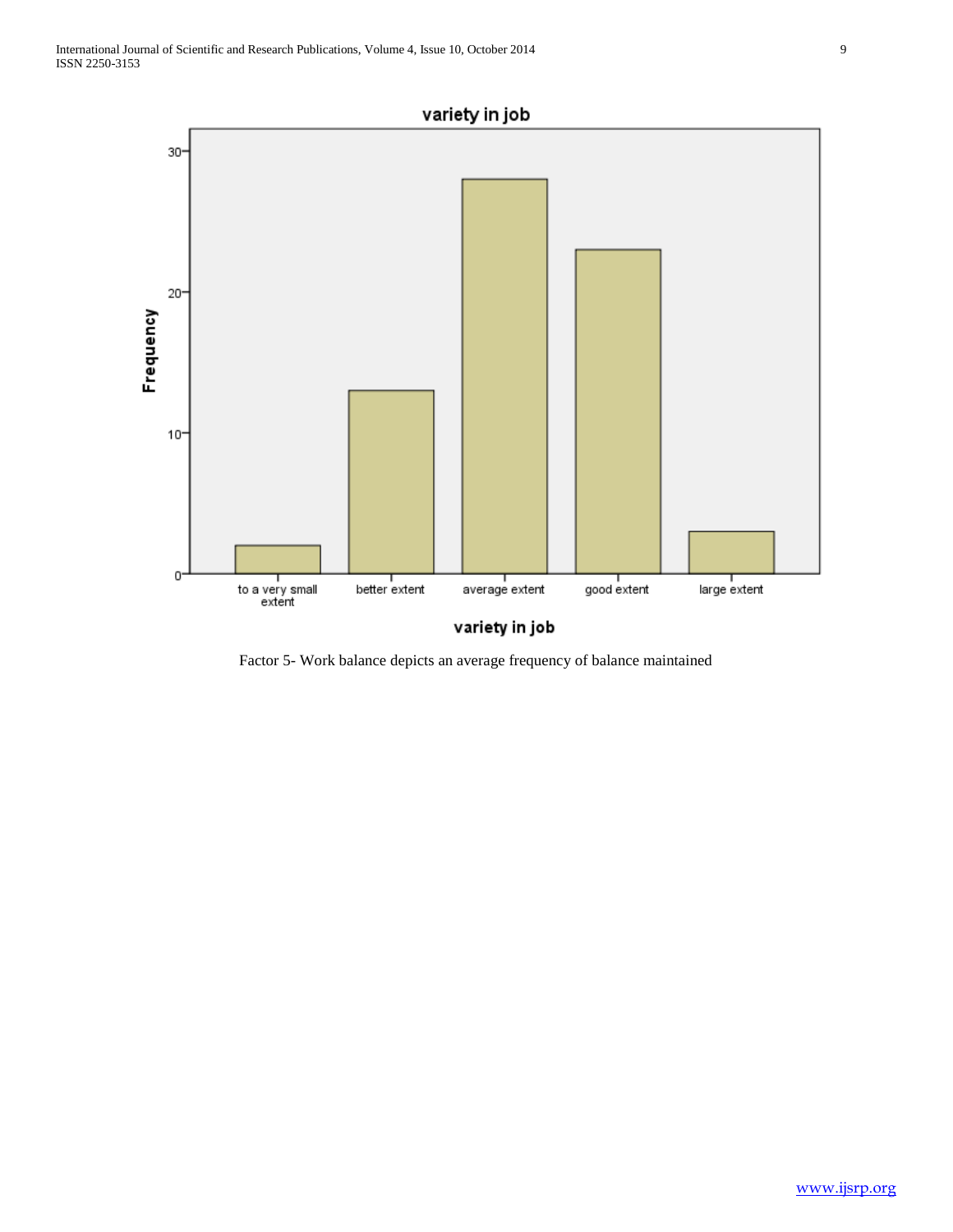

Factor 5- Work balance depicts an average frequency of balance maintained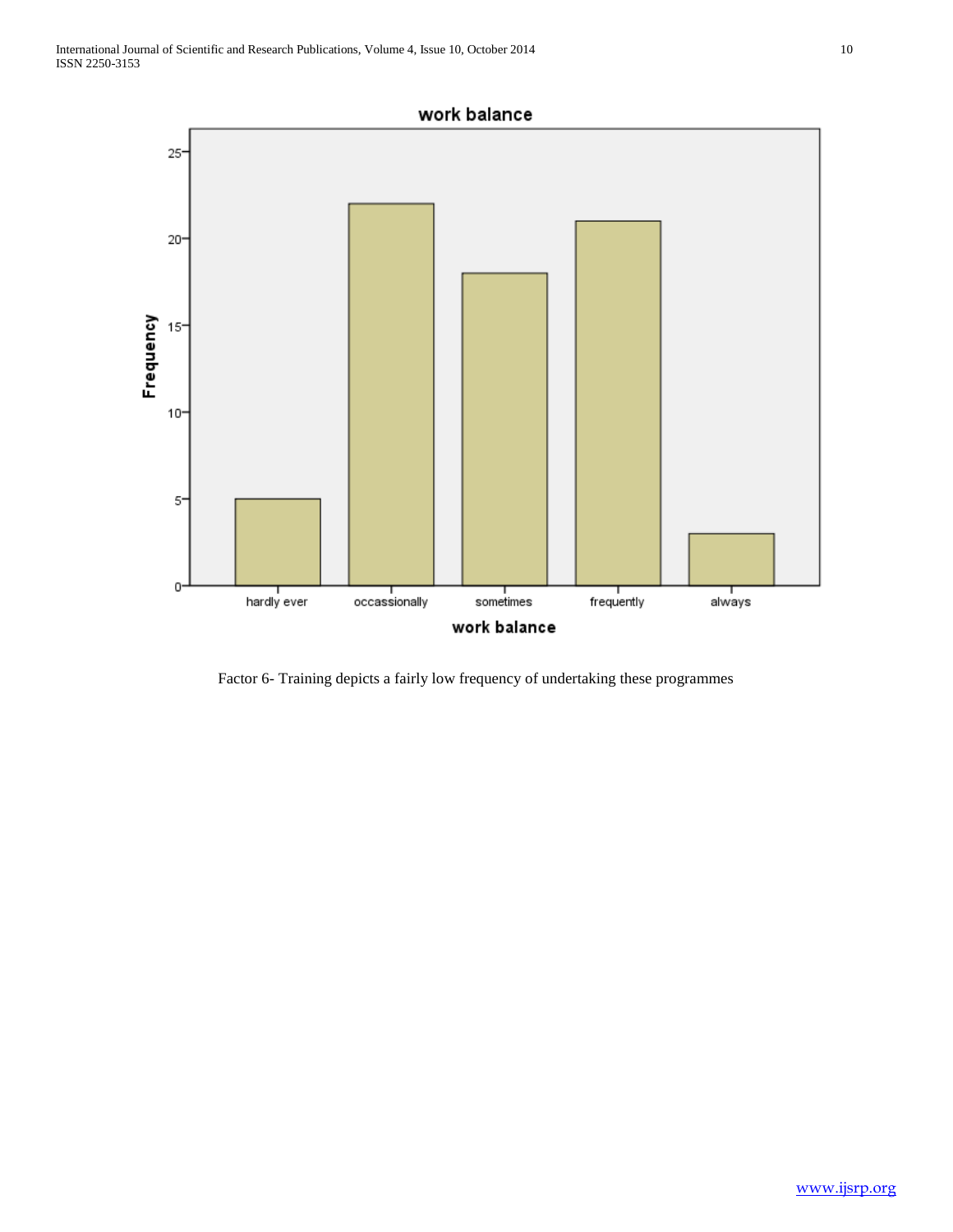

Factor 6- Training depicts a fairly low frequency of undertaking these programmes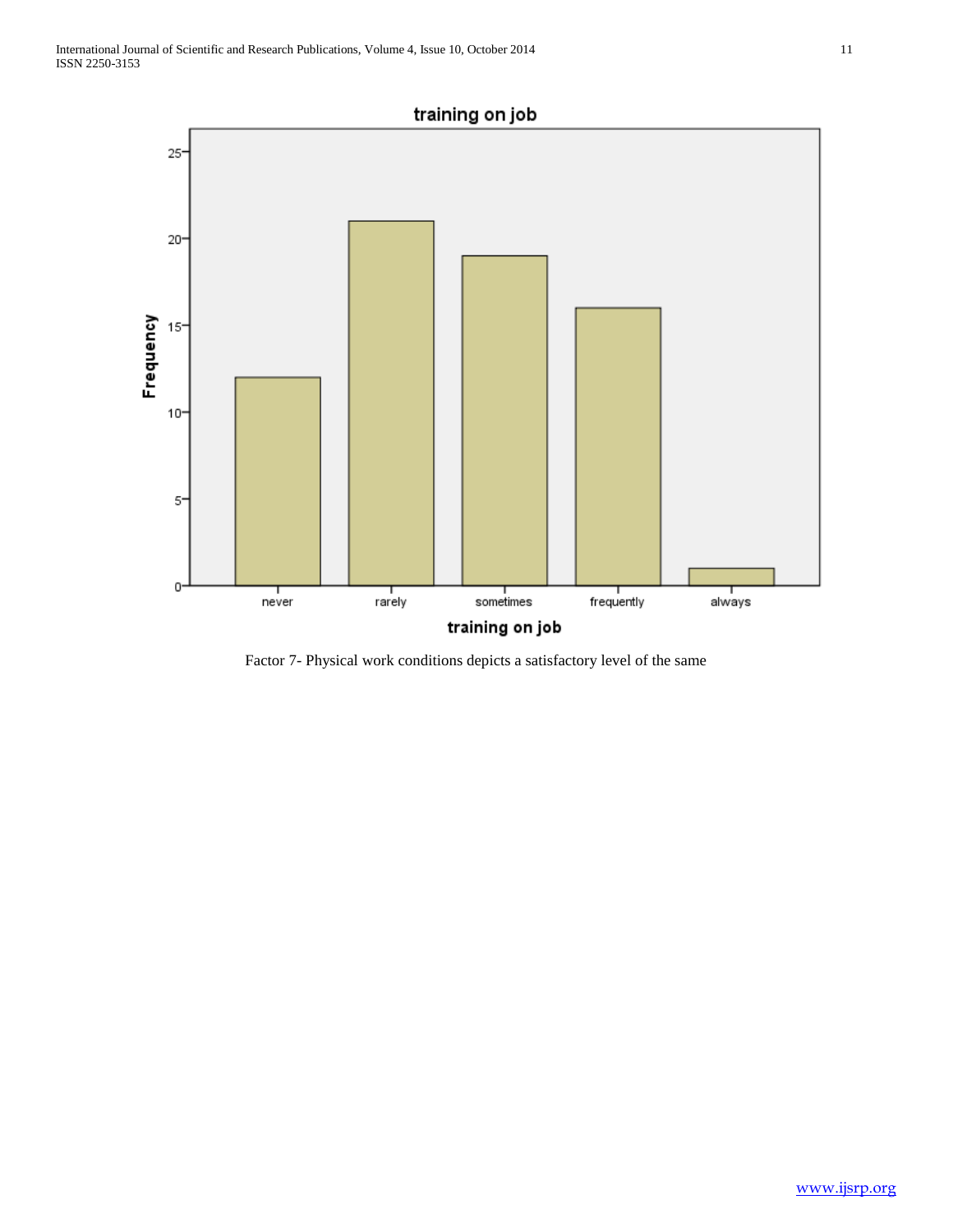

Factor 7- Physical work conditions depicts a satisfactory level of the same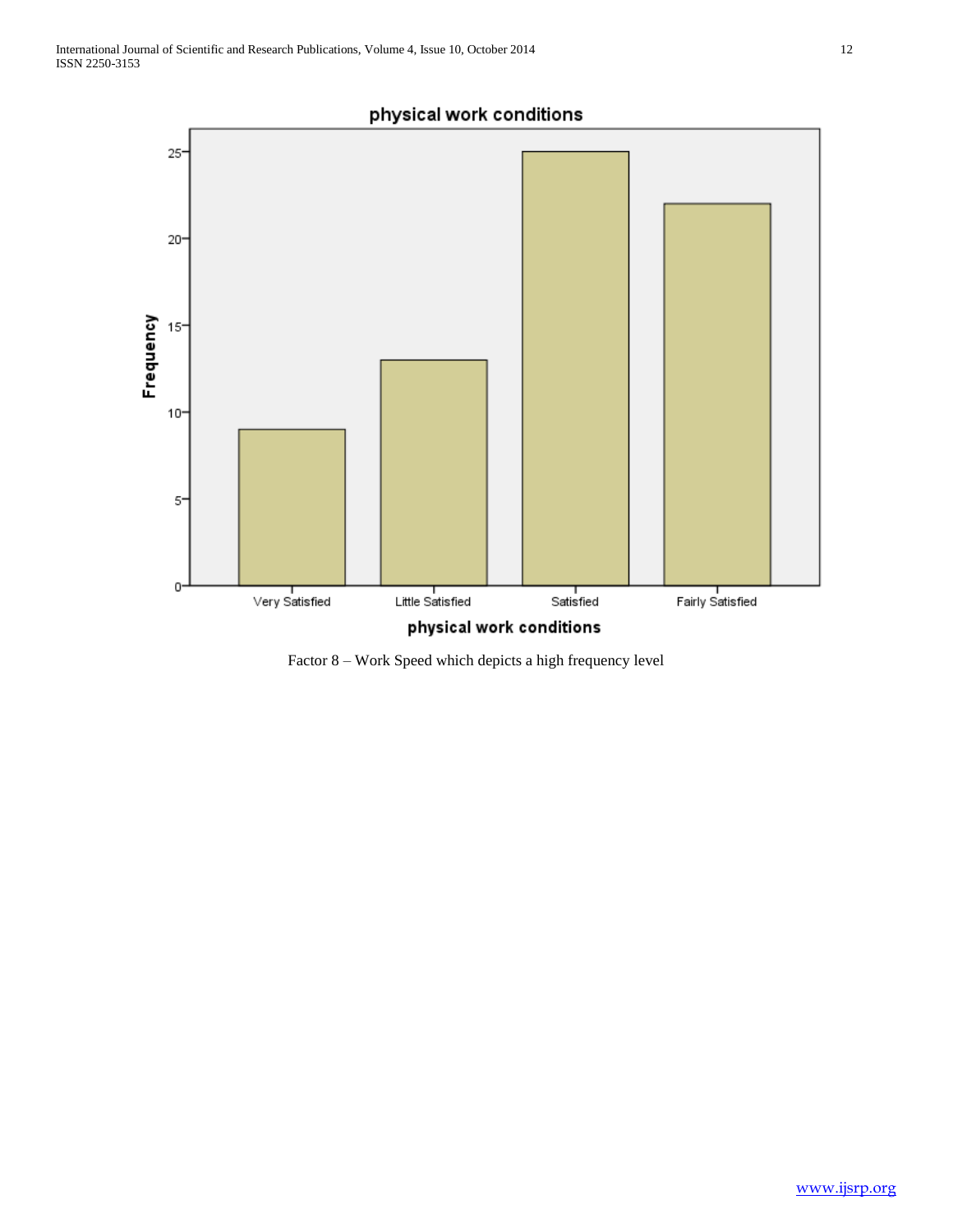

Factor 8 – Work Speed which depicts a high frequency level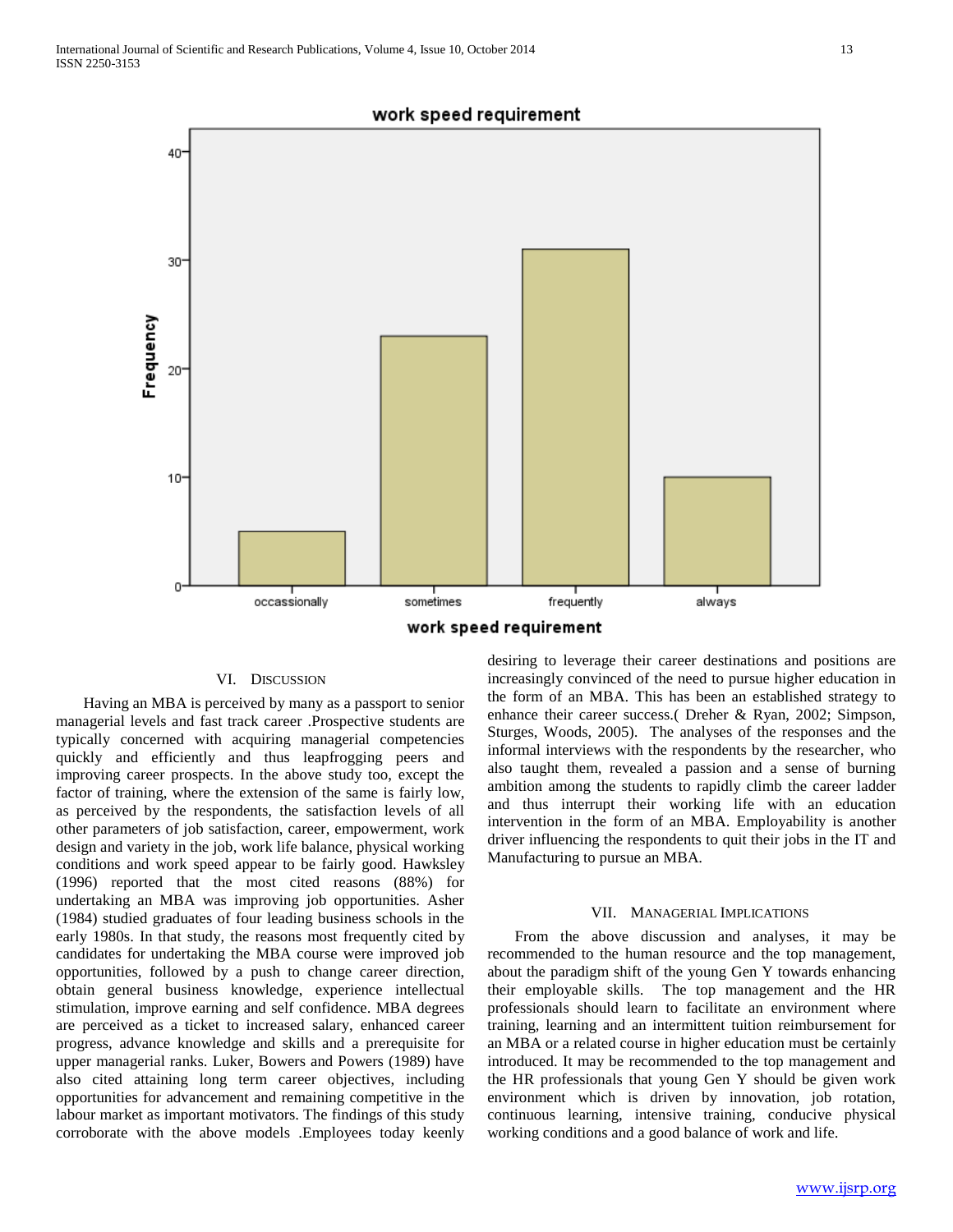

### VI. DISCUSSION

 Having an MBA is perceived by many as a passport to senior managerial levels and fast track career .Prospective students are typically concerned with acquiring managerial competencies quickly and efficiently and thus leapfrogging peers and improving career prospects. In the above study too, except the factor of training, where the extension of the same is fairly low, as perceived by the respondents, the satisfaction levels of all other parameters of job satisfaction, career, empowerment, work design and variety in the job, work life balance, physical working conditions and work speed appear to be fairly good. Hawksley (1996) reported that the most cited reasons (88%) for undertaking an MBA was improving job opportunities. Asher (1984) studied graduates of four leading business schools in the early 1980s. In that study, the reasons most frequently cited by candidates for undertaking the MBA course were improved job opportunities, followed by a push to change career direction, obtain general business knowledge, experience intellectual stimulation, improve earning and self confidence. MBA degrees are perceived as a ticket to increased salary, enhanced career progress, advance knowledge and skills and a prerequisite for upper managerial ranks. Luker, Bowers and Powers (1989) have also cited attaining long term career objectives, including opportunities for advancement and remaining competitive in the labour market as important motivators. The findings of this study corroborate with the above models .Employees today keenly

desiring to leverage their career destinations and positions are increasingly convinced of the need to pursue higher education in the form of an MBA. This has been an established strategy to enhance their career success.( Dreher & Ryan, 2002; Simpson, Sturges, Woods, 2005). The analyses of the responses and the informal interviews with the respondents by the researcher, who also taught them, revealed a passion and a sense of burning ambition among the students to rapidly climb the career ladder and thus interrupt their working life with an education intervention in the form of an MBA. Employability is another driver influencing the respondents to quit their jobs in the IT and Manufacturing to pursue an MBA.

### VII. MANAGERIAL IMPLICATIONS

 From the above discussion and analyses, it may be recommended to the human resource and the top management, about the paradigm shift of the young Gen Y towards enhancing their employable skills. The top management and the HR professionals should learn to facilitate an environment where training, learning and an intermittent tuition reimbursement for an MBA or a related course in higher education must be certainly introduced. It may be recommended to the top management and the HR professionals that young Gen Y should be given work environment which is driven by innovation, job rotation, continuous learning, intensive training, conducive physical working conditions and a good balance of work and life.